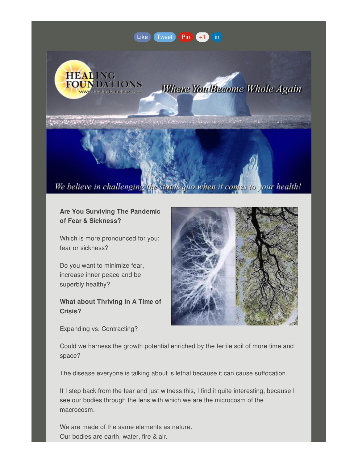## [Like](https://madmimi.com/p/ff3e801?pact=0-0-0-864282bb90492c26bd775b6a23655313fd13d23d&facebook_like=true) [Tweet](https://madmimi.com/p/ff3e801?pact=0-0-0-864282bb90492c26bd775b6a23655313fd13d23d&twitter_share=true) [Pin](https://madmimi.com/p/ff3e801?pact=0-0-0-864282bb90492c26bd775b6a23655313fd13d23d&pinterest_share=true) [+1](https://madmimi.com/p/ff3e801?pact=0-0-0-864282bb90492c26bd775b6a23655313fd13d23d&plusone_share=true) [in](https://madmimi.com/p/ff3e801?pact=0-0-0-864282bb90492c26bd775b6a23655313fd13d23d&linked_in_share=true)



**Where You Become Whole Again** 

Consider with Ranty

# We believe in challenging the status quo when it comes to your health!

**Are You Surviving The Pandemic of Fear & Sickness?**

Which is more pronounced for you: fear or sickness?

Do you want to minimize fear, increase inner peace and be superbly healthy?

**What about Thriving in A Time of Crisis?**

Expanding vs. Contracting?



Could we harness the growth potential enriched by the fertile soil of more time and space?

The disease everyone is talking about is lethal because it can cause suffocation.

If I step back from the fear and just witness this, I find it quite interesting, because I see our bodies through the lens with which we are the microcosm of the macrocosm.

We are made of the same elements as nature. Our bodies are earth, water, fire & air.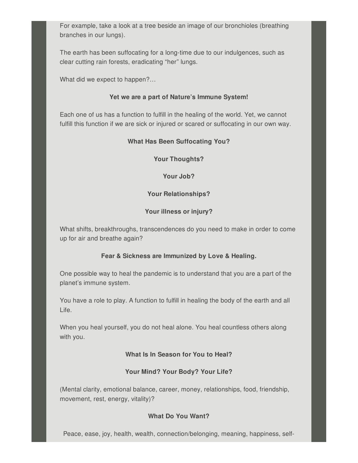For example, take a look at a tree beside an image of our bronchioles (breathing branches in our lungs).

The earth has been suffocating for a long-time due to our indulgences, such as clear cutting rain forests, eradicating "her" lungs.

What did we expect to happen?…

#### **Yet we are a part of Nature's Immune System!**

Each one of us has a function to fulfill in the healing of the world. Yet, we cannot fulfill this function if we are sick or injured or scared or suffocating in our own way.

## **What Has Been Suffocating You?**

**Your Thoughts?**

**Your Job?**

### **Your Relationships?**

### **Your illness or injury?**

What shifts, breakthroughs, transcendences do you need to make in order to come up for air and breathe again?

### **Fear & Sickness are Immunized by Love & Healing.**

One possible way to heal the pandemic is to understand that you are a part of the planet's immune system.

You have a role to play. A function to fulfill in healing the body of the earth and all Life.

When you heal yourself, you do not heal alone. You heal countless others along with you.

### **What Is In Season for You to Heal?**

### **Your Mind? Your Body? Your Life?**

(Mental clarity, emotional balance, career, money, relationships, food, friendship, movement, rest, energy, vitality)?

### **What Do You Want?**

Peace, ease, joy, health, wealth, connection/belonging, meaning, happiness, self-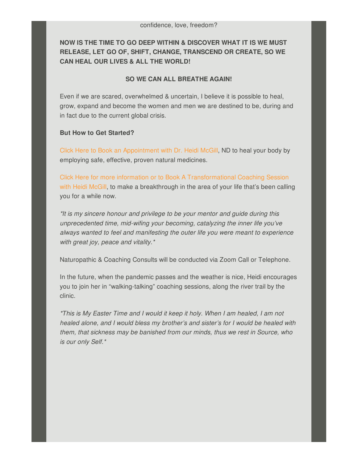**NOW IS THE TIME TO GO DEEP WITHIN & DISCOVER WHAT IT IS WE MUST RELEASE, LET GO OF, SHIFT, CHANGE, TRANSCEND OR CREATE, SO WE CAN HEAL OUR LIVES & ALL THE WORLD!**

#### **SO WE CAN ALL BREATHE AGAIN!**

Even if we are scared, overwhelmed & uncertain, I believe it is possible to heal, grow, expand and become the women and men we are destined to be, during and in fact due to the current global crisis.

#### **But How to Get Started?**

Click Here to Book an [Appointment](http://www.healingfoundations.ca/Home/BookAnAppointment/tabid/145/Default.aspx) with Dr. Heidi McGill, ND to heal your body by employing safe, effective, proven natural medicines.

Click Here for more information or to Book A [Transformational](mailto:heidibasilica@gmail.com?subject=I would like to know more about or book a transformational coaching session with Heidi) Coaching Session with Heidi McGill, to make a breakthrough in the area of your life that's been calling you for a while now.

*\*It is my sincere honour and privilege to be your mentor and guide during this unprecedented time, mid-wifing your becoming, catalyzing the inner life you've always wanted to feel and manifesting the outer life you were meant to experience with great joy, peace and vitality.\**

Naturopathic & Coaching Consults will be conducted via Zoom Call or Telephone.

In the future, when the pandemic passes and the weather is nice, Heidi encourages you to join her in "walking-talking" coaching sessions, along the river trail by the clinic.

*\*This is My Easter Time and I would it keep it holy. When I am healed, I am not healed alone, and I would bless my brother's and sister's for I would be healed with them, that sickness may be banished from our minds, thus we rest in Source, who is our only Self.\**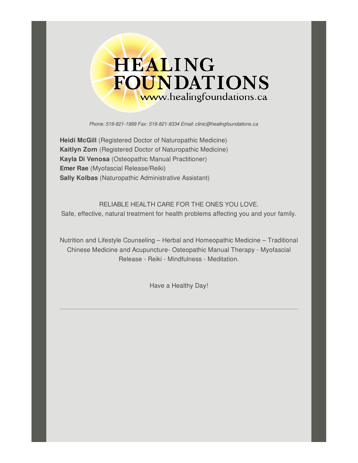

*Phone: 519-821-1999 Fax: 519-821-8334 Email: [clinic@healingfoundations.ca](http://www.healingfoundations.ca)*

**Heidi McGill** (Registered Doctor of Naturopathic Medicine) **Kaitlyn Zorn** (Registered Doctor of Naturopathic Medicine) **Kayla Di Venosa** (Osteopathic Manual Practitioner) **Emer Rae** (Myofascial Release/Reiki) **Sally Kolbas** (Naturopathic Administrative Assistant)

RELIABLE HEALTH CARE FOR THE ONES YOU LOVE. Safe, effective, natural treatment for health problems affecting you and your family.

Nutrition and Lifestyle Counseling – Herbal and Homeopathic Medicine – Traditional Chinese Medicine and Acupuncture- Osteopathic Manual Therapy - Myofascial Release - Reiki - Mindfulness - Meditation.

Have a Healthy Day!